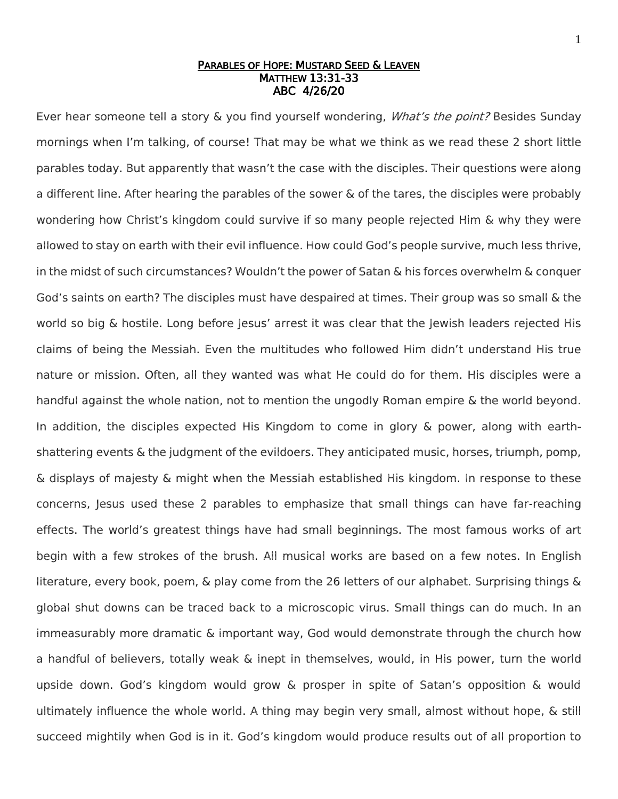## PARABLES OF HOPE: MUSTARD SEED & LEAVEN MATTHEW 13:31-33 ABC 4/26/20

Ever hear someone tell a story & you find yourself wondering, *What's the point?* Besides Sunday mornings when I'm talking, of course! That may be what we think as we read these 2 short little parables today. But apparently that wasn't the case with the disciples. Their questions were along a different line. After hearing the parables of the sower & of the tares, the disciples were probably wondering how Christ's kingdom could survive if so many people rejected Him & why they were allowed to stay on earth with their evil influence. How could God's people survive, much less thrive, in the midst of such circumstances? Wouldn't the power of Satan & his forces overwhelm & conquer God's saints on earth? The disciples must have despaired at times. Their group was so small & the world so big & hostile. Long before Jesus' arrest it was clear that the Jewish leaders rejected His claims of being the Messiah. Even the multitudes who followed Him didn't understand His true nature or mission. Often, all they wanted was what He could do for them. His disciples were a handful against the whole nation, not to mention the ungodly Roman empire & the world beyond. In addition, the disciples expected His Kingdom to come in glory & power, along with earthshattering events & the judgment of the evildoers. They anticipated music, horses, triumph, pomp, & displays of majesty & might when the Messiah established His kingdom. In response to these concerns, Jesus used these 2 parables to emphasize that small things can have far-reaching effects. The world's greatest things have had small beginnings. The most famous works of art begin with a few strokes of the brush. All musical works are based on a few notes. In English literature, every book, poem, & play come from the 26 letters of our alphabet. Surprising things & global shut downs can be traced back to a microscopic virus. Small things can do much. In an immeasurably more dramatic & important way, God would demonstrate through the church how a handful of believers, totally weak & inept in themselves, would, in His power, turn the world upside down. God's kingdom would grow & prosper in spite of Satan's opposition & would ultimately influence the whole world. A thing may begin very small, almost without hope, & still succeed mightily when God is in it. God's kingdom would produce results out of all proportion to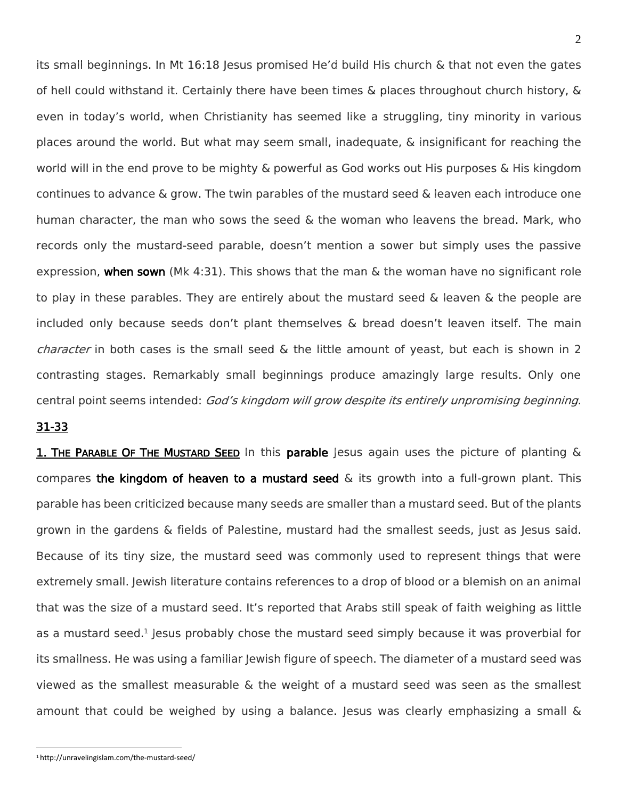its small beginnings. In Mt  $16:18$  Jesus promised He'd build His church & that not even the gates of hell could withstand it. Certainly there have been times & places throughout church history, & even in today's world, when Christianity has seemed like a struggling, tiny minority in various places around the world. But what may seem small, inadequate, & insignificant for reaching the world will in the end prove to be mighty & powerful as God works out His purposes & His kingdom continues to advance & grow. The twin parables of the mustard seed & leaven each introduce one human character, the man who sows the seed & the woman who leavens the bread. Mark, who records only the mustard-seed parable, doesn't mention a sower but simply uses the passive expression, when sown (Mk 4:31). This shows that the man  $\&$  the woman have no significant role to play in these parables. They are entirely about the mustard seed & leaven & the people are included only because seeds don't plant themselves & bread doesn't leaven itself. The main character in both cases is the small seed & the little amount of yeast, but each is shown in 2 contrasting stages. Remarkably small beginnings produce amazingly large results. Only one central point seems intended: God's kingdom will grow despite its entirely unpromising beginning.

## 31-33

 $\overline{a}$ 

1. THE PARABLE OF THE MUSTARD SEED In this parable Jesus again uses the picture of planting & compares the kingdom of heaven to a mustard seed  $\&$  its growth into a full-grown plant. This parable has been criticized because many seeds are smaller than a mustard seed. But of the plants grown in the gardens & fields of Palestine, mustard had the smallest seeds, just as Jesus said. Because of its tiny size, the mustard seed was commonly used to represent things that were extremely small. Jewish literature contains references to a drop of blood or a blemish on an animal that was the size of a mustard seed. It's reported that Arabs still speak of faith weighing as little as a mustard seed.<sup>1</sup> Jesus probably chose the mustard seed simply because it was proverbial for its smallness. He was using a familiar Jewish figure of speech. The diameter of a mustard seed was viewed as the smallest measurable & the weight of a mustard seed was seen as the smallest amount that could be weighed by using a balance. Jesus was clearly emphasizing a small &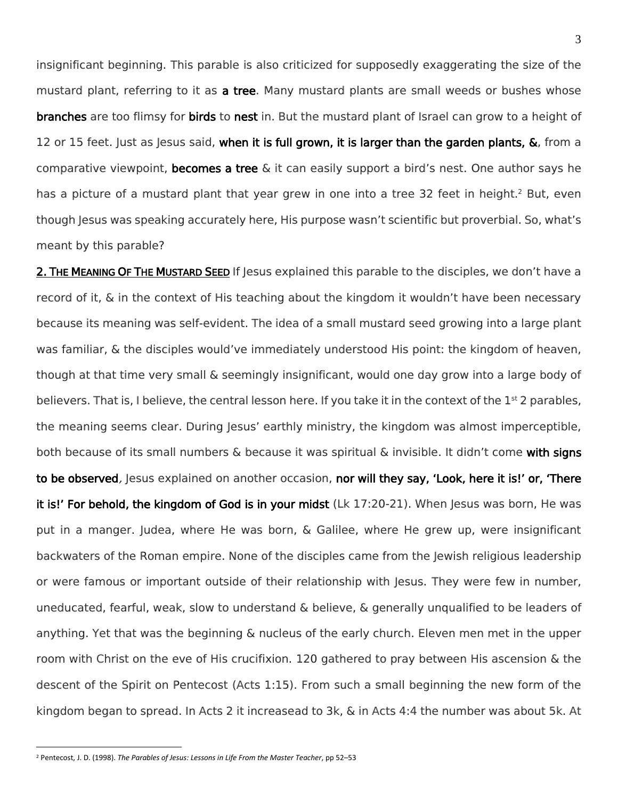insignificant beginning. This parable is also criticized for supposedly exaggerating the size of the mustard plant, referring to it as a tree. Many mustard plants are small weeds or bushes whose branches are too flimsy for birds to nest in. But the mustard plant of Israel can grow to a height of 12 or 15 feet. Just as Jesus said, when it is full grown, it is larger than the garden plants, &, from a comparative viewpoint, becomes a tree  $\&$  it can easily support a bird's nest. One author says he has a picture of a mustard plant that year grew in one into a tree 32 feet in height.<sup>2</sup> But, even though Jesus was speaking accurately here, His purpose wasn't scientific but proverbial. So, what's meant by this parable?

2. THE MEANING OF THE MUSTARD SEED If Jesus explained this parable to the disciples, we don't have a record of it, & in the context of His teaching about the kingdom it wouldn't have been necessary because its meaning was self-evident. The idea of a small mustard seed growing into a large plant was familiar, & the disciples would've immediately understood His point: the kingdom of heaven, though at that time very small & seemingly insignificant, would one day grow into a large body of believers. That is, I believe, the central lesson here. If you take it in the context of the  $1<sup>st</sup>$  2 parables, the meaning seems clear. During Jesus' earthly ministry, the kingdom was almost imperceptible, both because of its small numbers & because it was spiritual & invisible. It didn't come with signs to be observed, Jesus explained on another occasion, nor will they say, 'Look, here it is!' or, 'There it is!' For behold, the kingdom of God is in your midst (Lk 17:20-21). When Jesus was born, He was put in a manger. Judea, where He was born, & Galilee, where He grew up, were insignificant backwaters of the Roman empire. None of the disciples came from the Jewish religious leadership or were famous or important outside of their relationship with Jesus. They were few in number, uneducated, fearful, weak, slow to understand & believe, & generally unqualified to be leaders of anything. Yet that was the beginning & nucleus of the early church. Eleven men met in the upper room with Christ on the eve of His crucifixion. 120 gathered to pray between His ascension & the descent of the Spirit on Pentecost (Acts 1:15). From such a small beginning the new form of the kingdom began to spread. In Acts 2 it increasead to 3k, & in Acts 4:4 the number was about 5k. At

 $\overline{a}$ 

<sup>2</sup> Pentecost, J. D. (1998). *The Parables of Jesus: Lessons in Life From the Master Teacher*, pp 52–53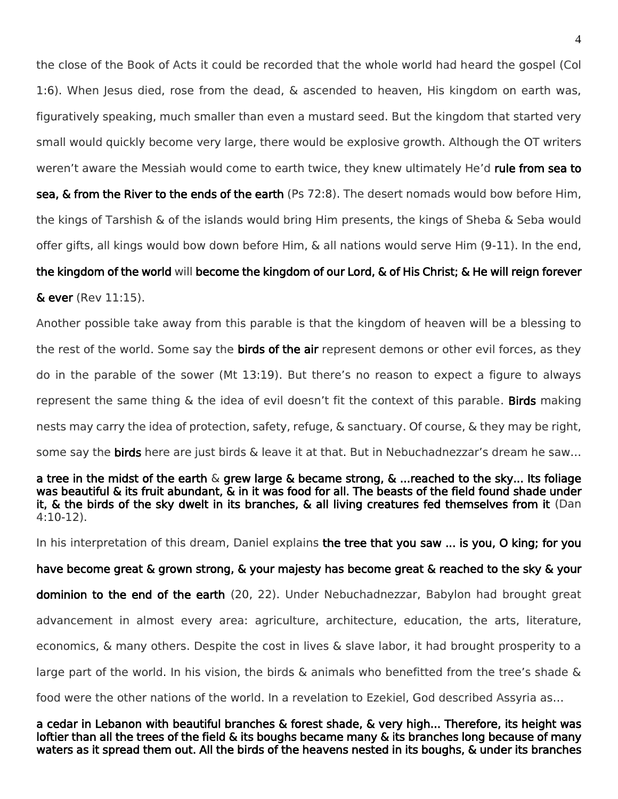the close of the Book of Acts it could be recorded that the whole world had heard the gospel (Col 1:6). When Jesus died, rose from the dead, & ascended to heaven, His kingdom on earth was, figuratively speaking, much smaller than even a mustard seed. But the kingdom that started very small would quickly become very large, there would be explosive growth. Although the OT writers weren't aware the Messiah would come to earth twice, they knew ultimately He'd rule from sea to

sea, & from the River to the ends of the earth (Ps 72:8). The desert nomads would bow before Him, the kings of Tarshish & of the islands would bring Him presents, the kings of Sheba & Seba would offer gifts, all kings would bow down before Him, & all nations would serve Him (9-11). In the end,

## the kingdom of the world will become the kingdom of our Lord, & of His Christ; & He will reign forever

& ever (Rev 11:15).

Another possible take away from this parable is that the kingdom of heaven will be a blessing to the rest of the world. Some say the **birds of the air** represent demons or other evil forces, as they do in the parable of the sower (Mt 13:19). But there's no reason to expect a figure to always represent the same thing  $\&$  the idea of evil doesn't fit the context of this parable. Birds making nests may carry the idea of protection, safety, refuge, & sanctuary. Of course, & they may be right, some say the **birds** here are just birds  $\&$  leave it at that. But in Nebuchadnezzar's dream he saw...

a tree in the midst of the earth  $\&$  grew large  $\&$  became strong,  $\&$  ...reached to the sky... Its foliage was beautiful & its fruit abundant, & in it was food for all. The beasts of the field found shade under it, & the birds of the sky dwelt in its branches, & all living creatures fed themselves from it (Dan 4:10-12).

In his interpretation of this dream, Daniel explains the tree that you saw ... is you, O king; for you

have become great & grown strong, & your majesty has become great & reached to the sky & your dominion to the end of the earth (20, 22). Under Nebuchadnezzar, Babylon had brought great advancement in almost every area: agriculture, architecture, education, the arts, literature, economics, & many others. Despite the cost in lives & slave labor, it had brought prosperity to a large part of the world. In his vision, the birds & animals who benefitted from the tree's shade & food were the other nations of the world. In a revelation to Ezekiel, God described Assyria as…

a cedar in Lebanon with beautiful branches & forest shade, & very high... Therefore, its height was loftier than all the trees of the field & its boughs became many & its branches long because of many waters as it spread them out. All the birds of the heavens nested in its boughs, & under its branches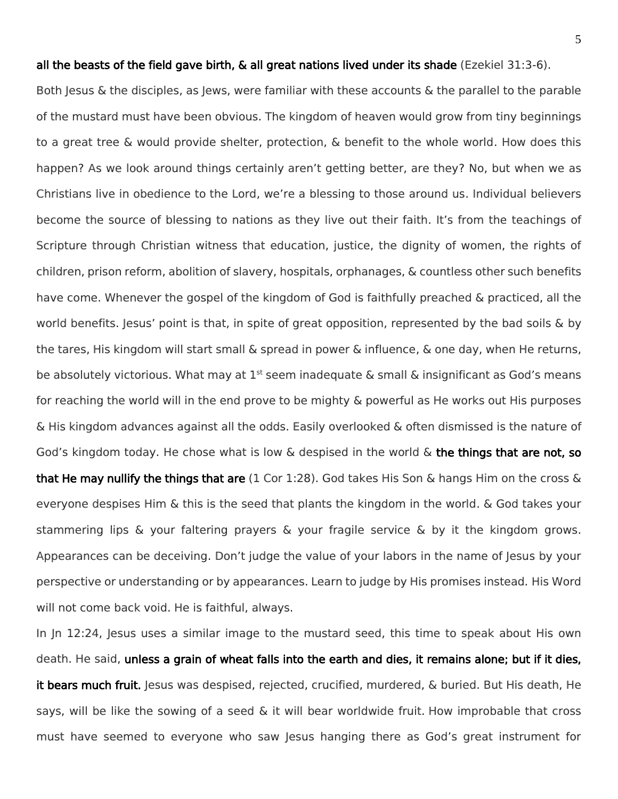Both Jesus & the disciples, as Jews, were familiar with these accounts & the parallel to the parable of the mustard must have been obvious. The kingdom of heaven would grow from tiny beginnings to a great tree & would provide shelter, protection, & benefit to the whole world. How does this happen? As we look around things certainly aren't getting better, are they? No, but when we as Christians live in obedience to the Lord, we're a blessing to those around us. Individual believers become the source of blessing to nations as they live out their faith. It's from the teachings of Scripture through Christian witness that education, justice, the dignity of women, the rights of children, prison reform, abolition of slavery, hospitals, orphanages, & countless other such benefits have come. Whenever the gospel of the kingdom of God is faithfully preached & practiced, all the world benefits. Jesus' point is that, in spite of great opposition, represented by the bad soils & by the tares, His kingdom will start small & spread in power & influence, & one day, when He returns, be absolutely victorious. What may at  $1^{st}$  seem inadequate & small & insignificant as God's means for reaching the world will in the end prove to be mighty & powerful as He works out His purposes & His kingdom advances against all the odds. Easily overlooked & often dismissed is the nature of God's kingdom today. He chose what is low  $\&$  despised in the world  $\&$  the things that are not, so that He may nullify the things that are  $(1 \text{ Cor } 1:28)$ . God takes His Son & hangs Him on the cross & everyone despises Him & this is the seed that plants the kingdom in the world. & God takes your stammering lips & your faltering prayers & your fragile service & by it the kingdom grows. Appearances can be deceiving. Don't judge the value of your labors in the name of Jesus by your perspective or understanding or by appearances. Learn to judge by His promises instead. His Word will not come back void. He is faithful, always.

In In 12:24, Jesus uses a similar image to the mustard seed, this time to speak about His own death. He said, unless a grain of wheat falls into the earth and dies, it remains alone; but if it dies, it bears much fruit. Jesus was despised, rejected, crucified, murdered, & buried. But His death, He says, will be like the sowing of a seed & it will bear worldwide fruit. How improbable that cross must have seemed to everyone who saw Jesus hanging there as God's great instrument for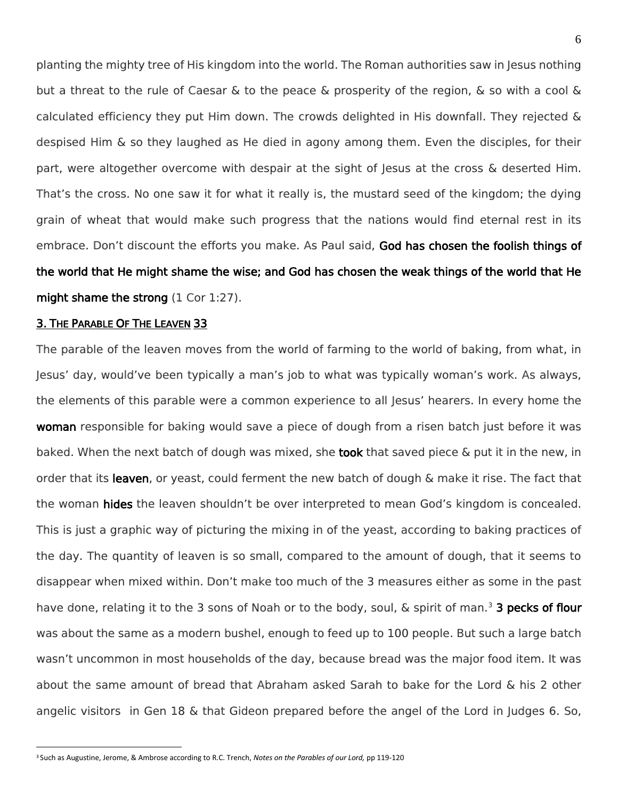planting the mighty tree of His kingdom into the world. The Roman authorities saw in Jesus nothing but a threat to the rule of Caesar & to the peace & prosperity of the region, & so with a cool & calculated efficiency they put Him down. The crowds delighted in His downfall. They rejected & despised Him & so they laughed as He died in agony among them. Even the disciples, for their part, were altogether overcome with despair at the sight of Jesus at the cross & deserted Him. That's the cross. No one saw it for what it really is, the mustard seed of the kingdom; the dying grain of wheat that would make such progress that the nations would find eternal rest in its embrace. Don't discount the efforts you make. As Paul said, God has chosen the foolish things of the world that He might shame the wise; and God has chosen the weak things of the world that He might shame the strong (1 Cor 1:27).

## 3. THE PARABLE OF THE LEAVEN 33

 $\overline{a}$ 

The parable of the leaven moves from the world of farming to the world of baking, from what, in Jesus' day, would've been typically a man's job to what was typically woman's work. As always, the elements of this parable were a common experience to all Jesus' hearers. In every home the woman responsible for baking would save a piece of dough from a risen batch just before it was baked. When the next batch of dough was mixed, she **took** that saved piece & put it in the new, in order that its leaven, or yeast, could ferment the new batch of dough & make it rise. The fact that the woman **hides** the leaven shouldn't be over interpreted to mean God's kingdom is concealed. This is just a graphic way of picturing the mixing in of the yeast, according to baking practices of the day. The quantity of leaven is so small, compared to the amount of dough, that it seems to disappear when mixed within. Don't make too much of the 3 measures either as some in the past have done, relating it to the 3 sons of Noah or to the body, soul, & spirit of man.<sup>3</sup> 3 pecks of flour was about the same as a modern bushel, enough to feed up to 100 people. But such a large batch wasn't uncommon in most households of the day, because bread was the major food item. It was about the same amount of bread that Abraham asked Sarah to bake for the Lord & his 2 other angelic visitors in Gen 18 & that Gideon prepared before the angel of the Lord in Judges 6. So,

<sup>3</sup> Such as Augustine, Jerome, & Ambrose according to R.C. Trench, *Notes on the Parables of our Lord,* pp 119-120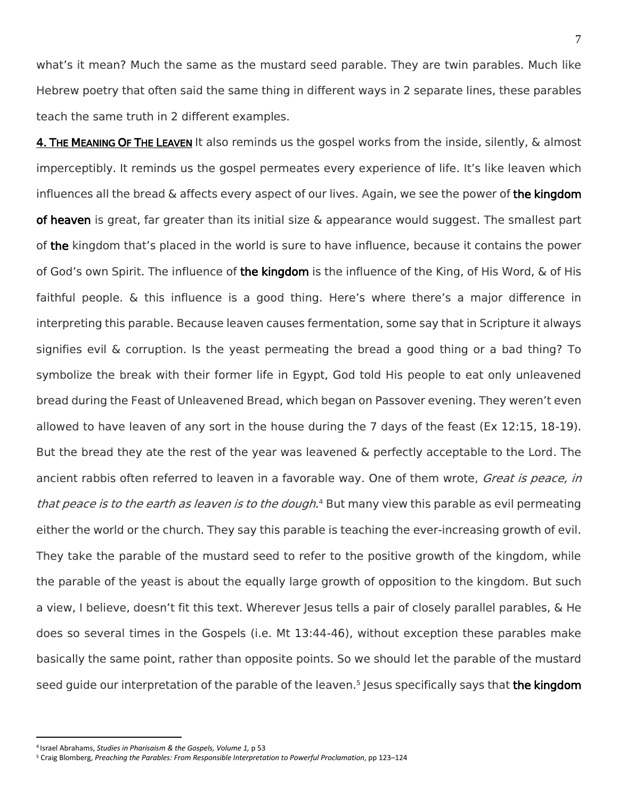what's it mean? Much the same as the mustard seed parable. They are twin parables. Much like Hebrew poetry that often said the same thing in different ways in 2 separate lines, these parables teach the same truth in 2 different examples.

4. THE MEANING OF THE LEAVEN It also reminds us the gospel works from the inside, silently, & almost imperceptibly. It reminds us the gospel permeates every experience of life. It's like leaven which influences all the bread & affects every aspect of our lives. Again, we see the power of the kingdom of heaven is great, far greater than its initial size  $\&$  appearance would suggest. The smallest part of the kingdom that's placed in the world is sure to have influence, because it contains the power of God's own Spirit. The influence of the kingdom is the influence of the King, of His Word, & of His faithful people. & this influence is a good thing. Here's where there's a major difference in interpreting this parable. Because leaven causes fermentation, some say that in Scripture it always signifies evil & corruption. Is the yeast permeating the bread a good thing or a bad thing? To symbolize the break with their former life in Egypt, God told His people to eat only unleavened bread during the Feast of Unleavened Bread, which began on Passover evening. They weren't even allowed to have leaven of any sort in the house during the 7 days of the feast (Ex 12:15, 18-19). But the bread they ate the rest of the year was leavened & perfectly acceptable to the Lord. The ancient rabbis often referred to leaven in a favorable way. One of them wrote, *Great is peace, in* that peace is to the earth as leaven is to the dough.<sup>4</sup> But many view this parable as evil permeating either the world or the church. They say this parable is teaching the ever-increasing growth of evil. They take the parable of the mustard seed to refer to the positive growth of the kingdom, while the parable of the yeast is about the equally large growth of opposition to the kingdom. But such a view, I believe, doesn't fit this text. Wherever Jesus tells a pair of closely parallel parables, & He does so several times in the Gospels (i.e. Mt 13:44-46), without exception these parables make basically the same point, rather than opposite points. So we should let the parable of the mustard seed guide our interpretation of the parable of the leaven.<sup>5</sup> Jesus specifically says that **the kingdom** 

 $\overline{a}$ 

<sup>4</sup> Israel Abrahams, *Studies in Pharisaism & the Gospels, Volume 1,* p 53

<sup>5</sup> Craig Blomberg, *Preaching the Parables: From Responsible Interpretation to Powerful Proclamation*, pp 123–124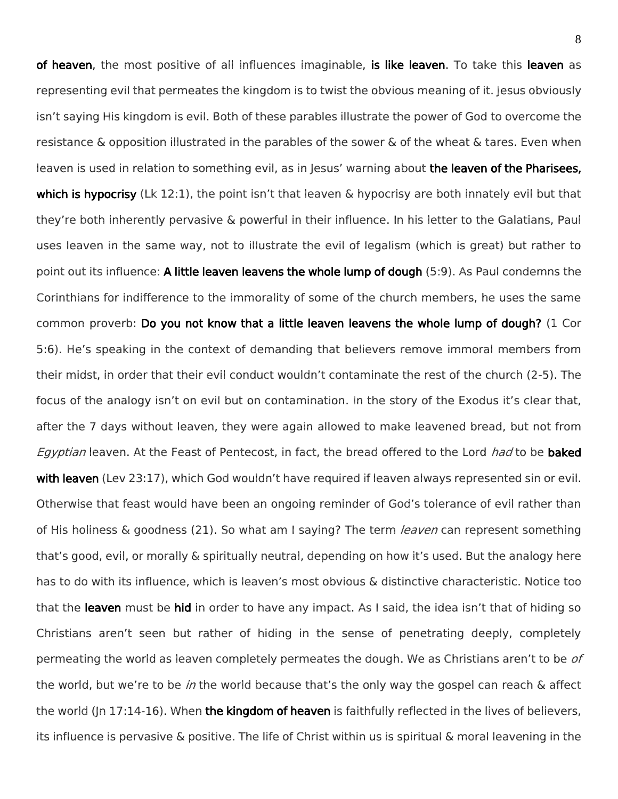of heaven, the most positive of all influences imaginable, is like leaven. To take this leaven as representing evil that permeates the kingdom is to twist the obvious meaning of it. Jesus obviously isn't saying His kingdom is evil. Both of these parables illustrate the power of God to overcome the resistance & opposition illustrated in the parables of the sower & of the wheat & tares. Even when leaven is used in relation to something evil, as in Jesus' warning about the leaven of the Pharisees, which is hypocrisy (Lk 12:1), the point isn't that leaven  $\&$  hypocrisy are both innately evil but that they're both inherently pervasive & powerful in their influence. In his letter to the Galatians, Paul uses leaven in the same way, not to illustrate the evil of legalism (which is great) but rather to point out its influence: A little leaven leavens the whole lump of dough (5:9). As Paul condemns the Corinthians for indifference to the immorality of some of the church members, he uses the same common proverb: Do you not know that a little leaven leavens the whole lump of dough? (1 Cor 5:6). He's speaking in the context of demanding that believers remove immoral members from their midst, in order that their evil conduct wouldn't contaminate the rest of the church (2-5). The focus of the analogy isn't on evil but on contamination. In the story of the Exodus it's clear that, after the 7 days without leaven, they were again allowed to make leavened bread, but not from Egyptian leaven. At the Feast of Pentecost, in fact, the bread offered to the Lord had to be **baked** with leaven (Lev 23:17), which God wouldn't have required if leaven always represented sin or evil. Otherwise that feast would have been an ongoing reminder of God's tolerance of evil rather than of His holiness & goodness (21). So what am I saying? The term *leaven* can represent something that's good, evil, or morally & spiritually neutral, depending on how it's used. But the analogy here has to do with its influence, which is leaven's most obvious & distinctive characteristic. Notice too that the leaven must be hid in order to have any impact. As I said, the idea isn't that of hiding so Christians aren't seen but rather of hiding in the sense of penetrating deeply, completely permeating the world as leaven completely permeates the dough. We as Christians aren't to be of the world, but we're to be in the world because that's the only way the gospel can reach & affect the world (Jn 17:14-16). When the kingdom of heaven is faithfully reflected in the lives of believers, its influence is pervasive & positive. The life of Christ within us is spiritual & moral leavening in the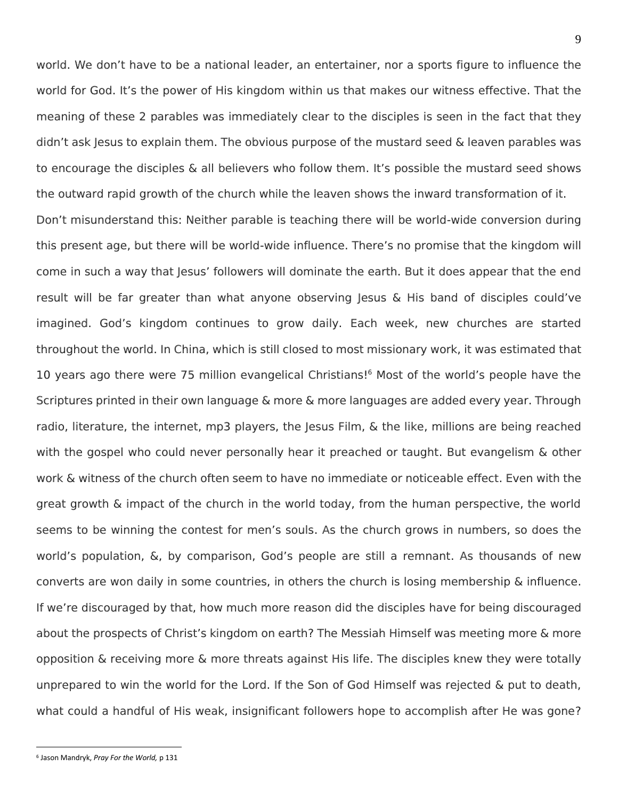world. We don't have to be a national leader, an entertainer, nor a sports figure to influence the world for God. It's the power of His kingdom within us that makes our witness effective. That the meaning of these 2 parables was immediately clear to the disciples is seen in the fact that they didn't ask Jesus to explain them. The obvious purpose of the mustard seed & leaven parables was to encourage the disciples & all believers who follow them. It's possible the mustard seed shows the outward rapid growth of the church while the leaven shows the inward transformation of it. Don't misunderstand this: Neither parable is teaching there will be world-wide conversion during this present age, but there will be world-wide influence. There's no promise that the kingdom will come in such a way that Jesus' followers will dominate the earth. But it does appear that the end result will be far greater than what anyone observing Jesus & His band of disciples could've imagined. God's kingdom continues to grow daily. Each week, new churches are started throughout the world. In China, which is still closed to most missionary work, it was estimated that 10 years ago there were 75 million evangelical Christians! <sup>6</sup> Most of the world's people have the Scriptures printed in their own language & more & more languages are added every year. Through radio, literature, the internet, mp3 players, the Jesus Film, & the like, millions are being reached with the gospel who could never personally hear it preached or taught. But evangelism & other work & witness of the church often seem to have no immediate or noticeable effect. Even with the great growth & impact of the church in the world today, from the human perspective, the world seems to be winning the contest for men's souls. As the church grows in numbers, so does the world's population, &, by comparison, God's people are still a remnant. As thousands of new converts are won daily in some countries, in others the church is losing membership & influence. If we're discouraged by that, how much more reason did the disciples have for being discouraged about the prospects of Christ's kingdom on earth? The Messiah Himself was meeting more & more opposition & receiving more & more threats against His life. The disciples knew they were totally unprepared to win the world for the Lord. If the Son of God Himself was rejected & put to death, what could a handful of His weak, insignificant followers hope to accomplish after He was gone?

 $\overline{a}$ 

<sup>6</sup> Jason Mandryk, *Pray For the World,* p 131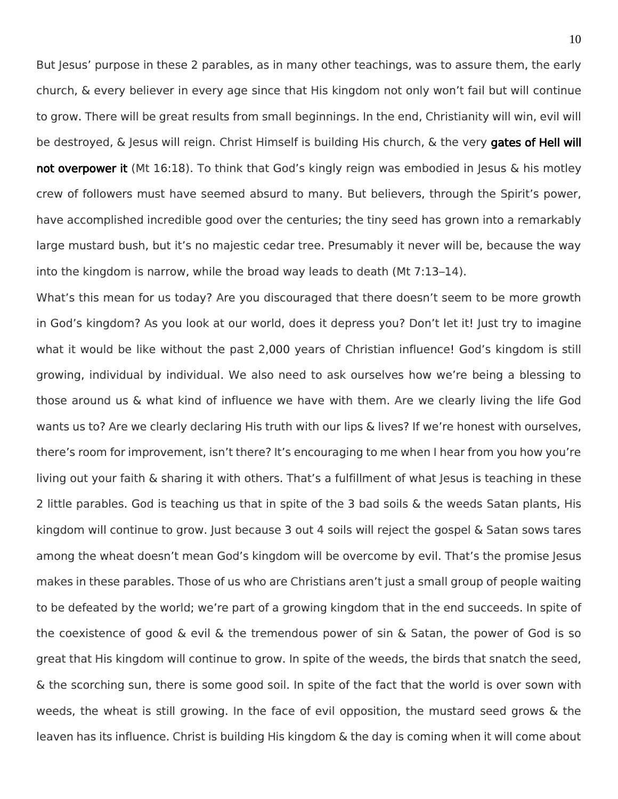But Jesus' purpose in these 2 parables, as in many other teachings, was to assure them, the early church, & every believer in every age since that His kingdom not only won't fail but will continue to grow. There will be great results from small beginnings. In the end, Christianity will win, evil will be destroyed, & Jesus will reign. Christ Himself is building His church, & the very gates of Hell will not overpower it (Mt 16:18). To think that God's kingly reign was embodied in Jesus & his motley crew of followers must have seemed absurd to many. But believers, through the Spirit's power, have accomplished incredible good over the centuries; the tiny seed has grown into a remarkably large mustard bush, but it's no majestic cedar tree. Presumably it never will be, because the way into the kingdom is narrow, while the broad way leads to death (Mt 7:13–14).

What's this mean for us today? Are you discouraged that there doesn't seem to be more growth in God's kingdom? As you look at our world, does it depress you? Don't let it! Just try to imagine what it would be like without the past 2,000 years of Christian influence! God's kingdom is still growing, individual by individual. We also need to ask ourselves how we're being a blessing to those around us & what kind of influence we have with them. Are we clearly living the life God wants us to? Are we clearly declaring His truth with our lips & lives? If we're honest with ourselves, there's room for improvement, isn't there? It's encouraging to me when I hear from you how you're living out your faith & sharing it with others. That's a fulfillment of what Jesus is teaching in these 2 little parables. God is teaching us that in spite of the 3 bad soils & the weeds Satan plants, His kingdom will continue to grow. Just because 3 out 4 soils will reject the gospel & Satan sows tares among the wheat doesn't mean God's kingdom will be overcome by evil. That's the promise Jesus makes in these parables. Those of us who are Christians aren't just a small group of people waiting to be defeated by the world; we're part of a growing kingdom that in the end succeeds. In spite of the coexistence of good & evil & the tremendous power of sin & Satan, the power of God is so great that His kingdom will continue to grow. In spite of the weeds, the birds that snatch the seed, & the scorching sun, there is some good soil. In spite of the fact that the world is over sown with weeds, the wheat is still growing. In the face of evil opposition, the mustard seed grows & the leaven has its influence. Christ is building His kingdom & the day is coming when it will come about